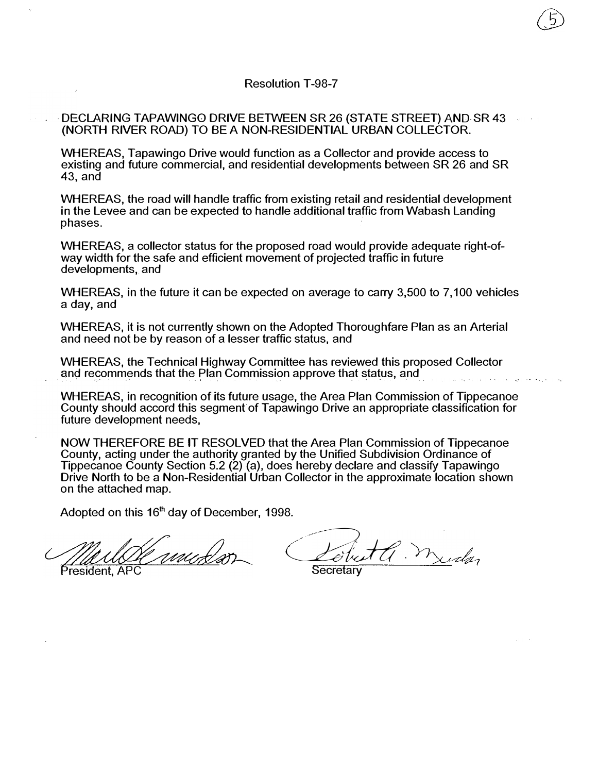#### Resolution T-98-7

## ·DECLARING TAPAWINGO DRIVE BETWEEN SR 26 (STATE STREET) AND SR 43 (NORTH RIVER ROAD) TO BE A NON-RESIDENTIAL URBAN COLLECTOR.

WHEREAS, Tapawingo Drive would function as a Collector and provide access to existing and future commercial, and residential developments between SR 26 and SR 43,and

WHEREAS, the road will handle traffic from existing retail and residential development in the Levee and can be expected to handle additional traffic from Wabash Landing phases.

WHEREAS, a collector status for the proposed road would provide adequate right-ofway width for the safe and efficient movement of projected traffic in future developments, and

WHEREAS, in the future it can be expected on average to carry 3,500 to 7,100 vehicles a day, and

WHEREAS, it is not currently shown on the Adopted Thoroughfare Plan as an Arterial and need not be by reason of a lesser traffic status, and

WHEREAS, the Technical Highway Committee has reviewed this proposed Collector and recommends that the Plan Commission approve that status, and

future development needs, WHEREAS, in recognition of its future usage, the Area Plan Commission of Tippecanoe County should accord this segment of Tapawingo Drive an appropriate classification for

NOW THEREFORE BE IT RESOLVED that the Area Plan Commission of Tippecanoe County, acting under the authority granted by the Unified Subdivision Ordinance of Tippecanoe County Section 5.2 (2) (a), does hereby declare and classify Tapawingo Drive North to be a Non-Residential Urban Collector in the approximate location shown on the attached map.

Adopted on this  $16<sup>th</sup>$  day of December, 1998.

wuxl sr President, AP

 $\lambda_{\chi}$ dar Gébet a.

**Secretary**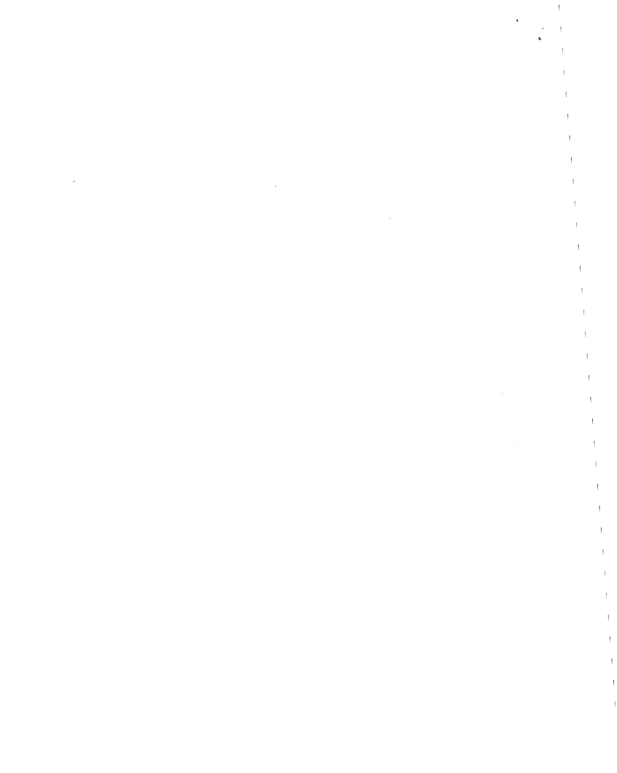$\pmb{\epsilon}$  $\mathbb{F}$  $\label{eq:2.1} \mathcal{L}_{\text{max}} = \frac{1}{\sqrt{2\pi}} \sum_{i=1}^{N} \frac{1}{\sqrt{2\pi}} \sum_{i=1}^{N} \frac{1}{\sqrt{2\pi}} \sum_{i=1}^{N} \frac{1}{\sqrt{2\pi}} \sum_{i=1}^{N} \frac{1}{\sqrt{2\pi}} \sum_{i=1}^{N} \frac{1}{\sqrt{2\pi}} \sum_{i=1}^{N} \frac{1}{\sqrt{2\pi}} \sum_{i=1}^{N} \frac{1}{\sqrt{2\pi}} \sum_{i=1}^{N} \frac{1}{\sqrt{2\pi}} \sum_{i=1}^{N} \$  $\mathbb{E}$  $\mathbb{F}$  $\mathcal{L}^{\mathcal{L}}(\mathcal{L}^{\mathcal{L}})$  and  $\mathcal{L}^{\mathcal{L}}(\mathcal{L}^{\mathcal{L}})$  and  $\mathcal{L}^{\mathcal{L}}(\mathcal{L}^{\mathcal{L}})$  $\pm$  $\mathcal{A}$  $\label{eq:2.1} \frac{1}{\sqrt{2}}\int_{\mathbb{R}^3}\frac{1}{\sqrt{2}}\left(\frac{1}{\sqrt{2}}\int_{\mathbb{R}^3}\frac{1}{\sqrt{2}}\left(\frac{1}{\sqrt{2}}\int_{\mathbb{R}^3}\frac{1}{\sqrt{2}}\right)\frac{1}{\sqrt{2}}\right)\frac{1}{\sqrt{2}}\,d\mu$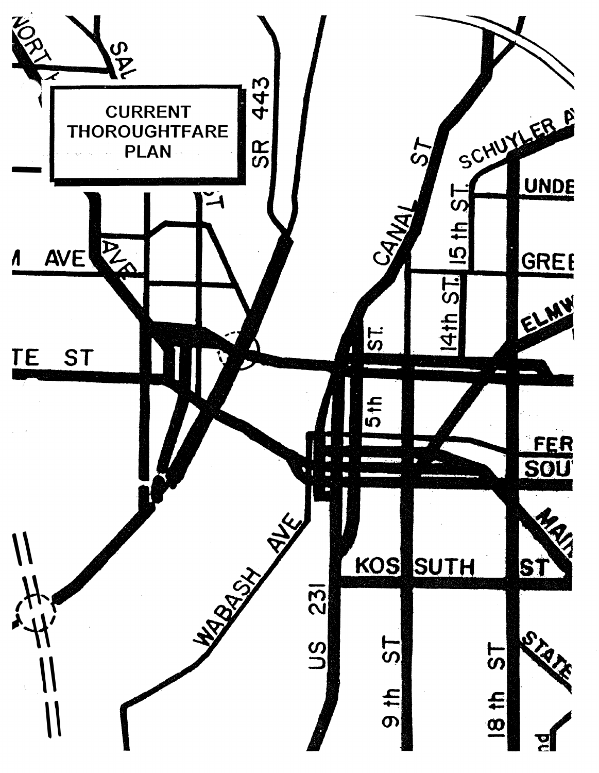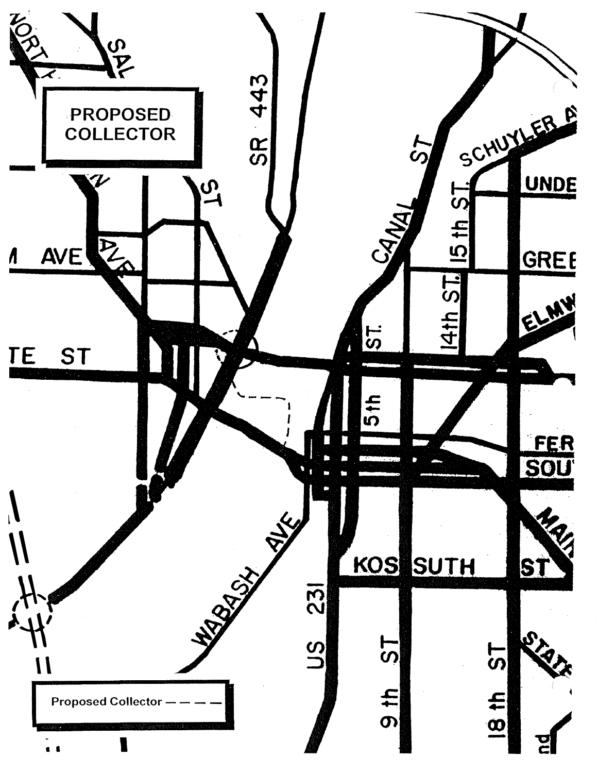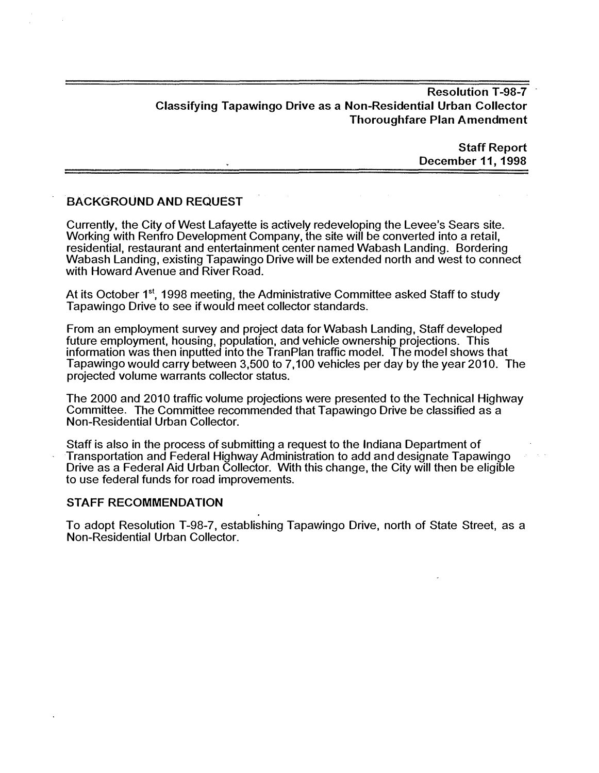# Resolution T-98-7 Classifying Tapawingo Drive as a Non-Residential Urban Collector Thoroughfare Plan Amendment

Staff Report December 11, 1998

### BACKGROUND AND REQUEST

Currently, the City of West Lafayette is actively redeveloping the Levee's Sears site. Working with Renfro Development Company, the site will be converted into a retail, residential, restaurant and entertainment center named Wabash Landing. Bordering Wabash Landing, existing Tapawingo Drive will be extended north and west to connect with Howard Avenue and River Road.

At its October 1<sup>st</sup>, 1998 meeting, the Administrative Committee asked Staff to study Tapawingo Drive to see if would meet collector standards.

From an employment survey and project data for Wabash Landing, Staff developed future employment, housing, population, and vehicle ownership projections. This information was then inputted into the TranPian traffic model. The model shows that Tapawingo would carry between 3,500 to 7,100 vehicles per day by the year 2010. The projected volume warrants collector status.

The 2000 and 2010 traffic volume projections were presented to the Technical Highway Committee. The Committee recommended that Tapawingo Drive be classified as a Non-Residential Urban Collector.

Staff is also in the process of submitting a request to the Indiana Department of Transportation and Federal Highway Administration to add and designate Tapawingo Drive as a Federal Aid Urban Collector. With this change, the City will then be eligible to use federal funds for road improvements.

#### STAFF RECOMMENDATION

To adopt Resolution T-98-7, establishing Tapawingo Drive, north of State Street, as a Non-Residential Urban Collector.